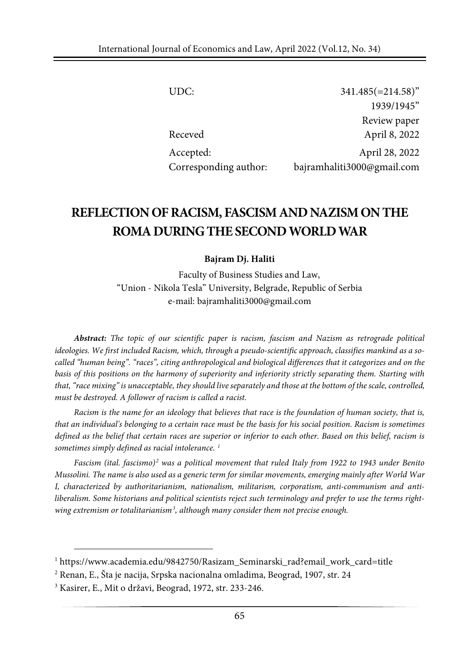| UDC:                  | $341.485 (=214.58)^{v}$    |
|-----------------------|----------------------------|
|                       | 1939/1945"                 |
|                       | Review paper               |
| Receved               | April 8, 2022              |
| Accepted:             | April 28, 2022             |
| Corresponding author: | bajramhaliti3000@gmail.com |

# **REFLECTIONOFRACISM, FASCISMANDNAZISMONTHE ROMADURINGTHESECONDWORLDWAR**

#### **Bajram Dj. Haliti**

Faculty of Business Studies and Law, "Union - Nikola Tesla" University, Belgrade, Republic of Serbia e-mail: bajramhaliti3000@gmail.com

*Abstract: The topic of our scientific paper is racism, fascism and Nazism as retrograde political ideologies. We first included Racism, which, through a pseudo-scientific approach, classifies mankind as a socalled "human being". "races", citing anthropological and biological differences that it categorizes and on the basis of this positions on the harmony of superiority and inferiority strictly separating them. Starting with* that, "race mixing" is unacceptable, they should live separately and those at the bottom of the scale, controlled, *must be destroyed. A follower of racism is called a racist.*

Racism is the name for an ideology that believes that race is the foundation of human society, that is, that an individual's belonging to a certain race must be the basis for his social position. Racism is sometimes defined as the belief that certain races are superior or inferior to each other. Based on this belief, racism is *sometimes simply defined as racial intolerance. [1](#page-0-0)*

*Fascism (ital. fascismo)[2](#page-0-1) was a political movement that ruled Italy from 1922 to 1943 under Benito* Mussolini. The name is also used as a generic term for similar movements, emerging mainly after World War *I, characterized by authoritarianism, nationalism, militarism, corporatism, anti-communism and antiliberalism. Some historians and political scientists reject such terminology and prefer to use the terms rightwing extremism or totalitarianism[3](#page-0-2) , although many consider them not precise enough.*

<span id="page-0-0"></span> $1$  https://www.academia.edu/9842750/Rasizam\_Seminarski\_rad?email\_work\_card=title

<span id="page-0-1"></span><sup>2</sup> Renan, E., Šta je nacija, Srpska nacionalna omladima, Beograd, 1907, str. 24

<span id="page-0-2"></span><sup>3</sup> Kasirer, E., Mit o državi, Beograd, 1972, str. 233-246.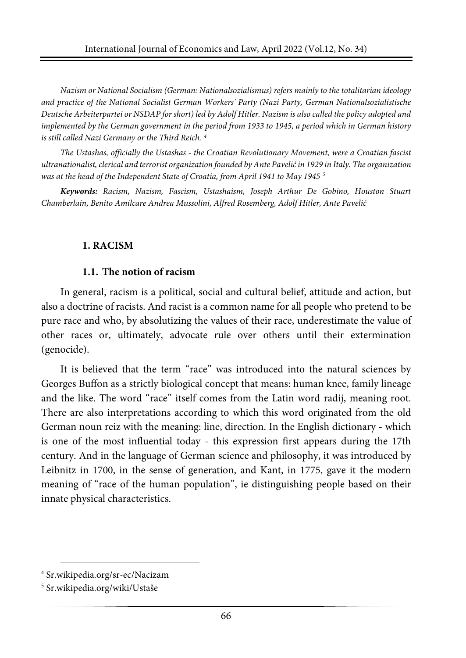*Nazism or National Socialism (German: Nationalsozialismus) refers mainly to the totalitarian ideology and practice of the National Socialist German Workers' Party (Nazi Party, German Nationalsozialistische* Deutsche Arbeiterpartei or NSDAP for short) led by Adolf Hitler. Nazism is also called the policy adopted and implemented by the German government in the period from 1933 to 1945, a period which in German history *is still called Nazi Germany or the Third Reich. [4](#page-1-0)*

*The Ustashas, officially the Ustashas - the Croatian Revolutionary Movement, were a Croatian fascist ultranationalist,clerical and terrorist organization founded by Ante Pavelićin 1929 in Italy. The organization was at the head of the Independent State of Croatia, from April 1941 to May 1945 [5](#page-1-1)*

*Keywords: Racism, Nazism, Fascism, Ustashaism, Joseph Arthur De Gobino, Houston Stuart Chamberlain, Benito Amilcare Andrea Mussolini, Alfred Rosemberg, Adolf Hitler, Ante Pavelić*

#### **1. RACISM**

#### **1.1. The notion of racism**

In general, racism is a political, social and cultural belief, attitude and action, but also a doctrine of racists. And racist is a common name for all people who pretend to be pure race and who, by absolutizing the values of their race, underestimate the value of other races or, ultimately, advocate rule over others until their extermination (genocide).

It is believed that the term "race" was introduced into the natural sciences by Georges Buffon as a strictly biological concept that means: human knee, family lineage and the like. The word "race" itself comes from the Latin word radij, meaning root. There are also interpretations according to which this word originated from the old German noun reiz with the meaning: line, direction. In the English dictionary - which is one of the most influential today - this expression first appears during the 17th century. And in the language of German science and philosophy, it was introduced by Leibnitz in 1700, in the sense of generation, and Kant, in 1775, gave it the modern meaning of "race of the human population", ie distinguishing people based on their innate physical characteristics.

<span id="page-1-0"></span><sup>4</sup> Sr.wikipedia.org/sr-ec/Nacizam

<span id="page-1-1"></span><sup>5</sup> Sr.wikipedia.org/wiki/Ustaše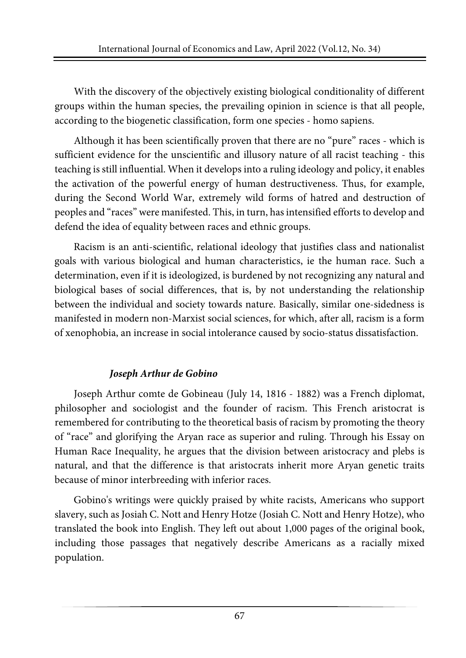With the discovery of the objectively existing biological conditionality of different groups within the human species, the prevailing opinion in science is that all people, according to the biogenetic classification, form one species - homo sapiens.

Although it has been scientifically proven that there are no "pure" races - which is sufficient evidence for the unscientific and illusory nature of all racist teaching - this teaching is still influential. When it develops into a ruling ideology and policy, it enables the activation of the powerful energy of human destructiveness. Thus, for example, during the Second World War, extremely wild forms of hatred and destruction of peoples and "races" were manifested. This, in turn, hasintensified efforts to develop and defend the idea of equality between races and ethnic groups.

Racism is an anti-scientific, relational ideology that justifies class and nationalist goals with various biological and human characteristics, ie the human race. Such a determination, even if it is ideologized, is burdened by not recognizing any natural and biological bases of social differences, that is, by not understanding the relationship between the individual and society towards nature. Basically, similar one-sidedness is manifested in modern non-Marxist social sciences, for which, after all, racism is a form of xenophobia, an increase in social intolerance caused by socio-status dissatisfaction.

## *Joseph Arthur de Gobino*

Joseph Arthur comte de Gobineau (July 14, 1816 - 1882) was a French diplomat, philosopher and sociologist and the founder of racism. This French aristocrat is remembered for contributing to the theoretical basis of racism by promoting the theory of "race" and glorifying the Aryan race as superior and ruling. Through his Essay on Human Race Inequality, he argues that the division between aristocracy and plebs is natural, and that the difference is that aristocrats inherit more Aryan genetic traits because of minor interbreeding with inferior races.

Gobino's writings were quickly praised by white racists, Americans who support slavery, such as Josiah C. Nott and Henry Hotze (Josiah C. Nott and Henry Hotze), who translated the book into English. They left out about 1,000 pages of the original book, including those passages that negatively describe Americans as a racially mixed population.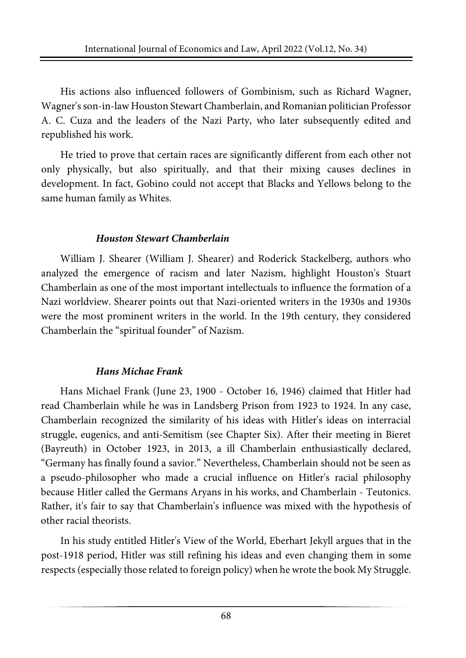His actions also influenced followers of Gombinism, such as Richard Wagner, Wagner'sson-in-law Houston Stewart Chamberlain, and Romanian politician Professor A. C. Cuza and the leaders of the Nazi Party, who later subsequently edited and republished his work.

He tried to prove that certain races are significantly different from each other not only physically, but also spiritually, and that their mixing causes declines in development. In fact, Gobino could not accept that Blacks and Yellows belong to the same human family as Whites.

#### *Houston Stewart Chamberlain*

William J. Shearer (William J. Shearer) and Roderick Stackelberg, authors who analyzed the emergence of racism and later Nazism, highlight Houston's Stuart Chamberlain as one of the most important intellectuals to influence the formation of a Nazi worldview. Shearer points out that Nazi-oriented writers in the 1930s and 1930s were the most prominent writers in the world. In the 19th century, they considered Chamberlain the "spiritual founder" of Nazism.

## *Hans Michae Frank*

Hans Michael Frank (June 23, 1900 - October 16, 1946) claimed that Hitler had read Chamberlain while he was in Landsberg Prison from 1923 to 1924. In any case, Chamberlain recognized the similarity of his ideas with Hitler's ideas on interracial struggle, eugenics, and anti-Semitism (see Chapter Six). After their meeting in Bieret (Bayreuth) in October 1923, in 2013, a ill Chamberlain enthusiastically declared, "Germany has finally found a savior." Nevertheless, Chamberlain should not be seen as a pseudo-philosopher who made a crucial influence on Hitler's racial philosophy because Hitler called the Germans Aryans in his works, and Chamberlain - Teutonics. Rather, it's fair to say that Chamberlain's influence was mixed with the hypothesis of other racial theorists.

In his study entitled Hitler's View of the World, Eberhart Jekyll argues that in the post-1918 period, Hitler was still refining his ideas and even changing them in some respects (especially those related to foreign policy) when he wrote the book My Struggle.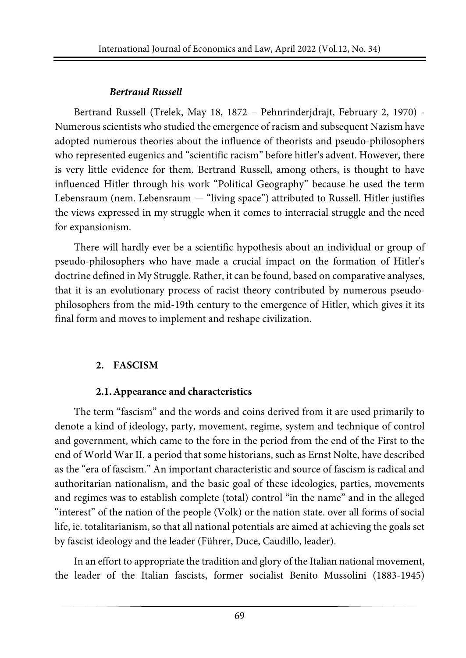## *Bertrand Russell*

Bertrand Russell (Trelek, May 18, 1872 – Pehnrinderjdrajt, February 2, 1970) - Numerous scientists who studied the emergence of racism and subsequent Nazism have adopted numerous theories about the influence of theorists and pseudo-philosophers who represented eugenics and "scientific racism" before hitler's advent. However, there is very little evidence for them. Bertrand Russell, among others, is thought to have influenced Hitler through his work "Political Geography" because he used the term Lebensraum (nem. Lebensraum — "living space") attributed to Russell. Hitler justifies the views expressed in my struggle when it comes to interracial struggle and the need for expansionism.

There will hardly ever be a scientific hypothesis about an individual or group of pseudo-philosophers who have made a crucial impact on the formation of Hitler's doctrine defined in My Struggle. Rather, it can be found, based on comparative analyses, that it is an evolutionary process of racist theory contributed by numerous pseudophilosophers from the mid-19th century to the emergence of Hitler, which gives it its final form and moves to implement and reshape civilization.

## **2. FASCISM**

## **2.1.Appearance and characteristics**

The term "fascism" and the words and coins derived from it are used primarily to denote a kind of ideology, party, movement, regime, system and technique of control and government, which came to the fore in the period from the end of the First to the end of World War II. a period that some historians, such as Ernst Nolte, have described as the "era of fascism." An important characteristic and source of fascism is radical and authoritarian nationalism, and the basic goal of these ideologies, parties, movements and regimes was to establish complete (total) control "in the name" and in the alleged "interest" of the nation of the people (Volk) or the nation state. over all forms of social life, ie. totalitarianism, so that all national potentials are aimed at achieving the goals set by fascist ideology and the leader (Führer, Duce, Caudillo, leader).

In an effort to appropriate the tradition and glory of the Italian national movement, the leader of the Italian fascists, former socialist Benito Mussolini (1883-1945)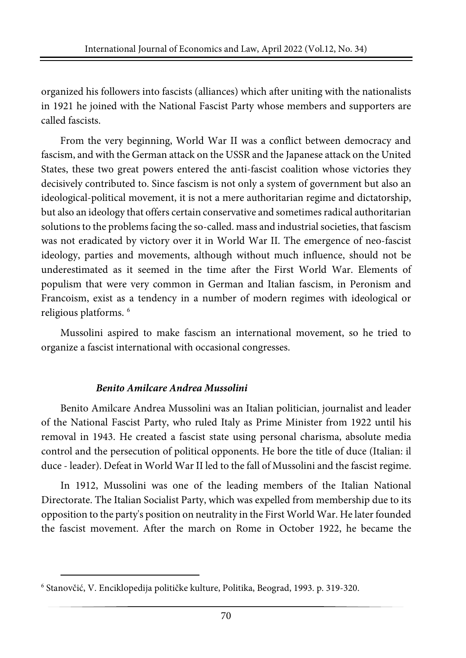organized his followers into fascists (alliances) which after uniting with the nationalists in 1921 he joined with the National Fascist Party whose members and supporters are called fascists.

From the very beginning, World War II was a conflict between democracy and fascism, and with the German attack on the USSR and the Japanese attack on the United States, these two great powers entered the anti-fascist coalition whose victories they decisively contributed to. Since fascism is not only a system of government but also an ideological-political movement, it is not a mere authoritarian regime and dictatorship, but also an ideology that offers certain conservative and sometimes radical authoritarian solutions to the problems facing the so-called. mass and industrialsocieties, that fascism was not eradicated by victory over it in World War II. The emergence of neo-fascist ideology, parties and movements, although without much influence, should not be underestimated as it seemed in the time after the First World War. Elements of populism that were very common in German and Italian fascism, in Peronism and Francoism, exist as a tendency in a number of modern regimes with ideological or religious platforms. [6](#page-5-0)

Mussolini aspired to make fascism an international movement, so he tried to organize a fascist international with occasional congresses.

## *Benito Amilcare Andrea Mussolini*

Benito Amilcare Andrea Mussolini was an Italian politician, journalist and leader of the National Fascist Party, who ruled Italy as Prime Minister from 1922 until his removal in 1943. He created a fascist state using personal charisma, absolute media control and the persecution of political opponents. He bore the title of duce (Italian: il duce - leader). Defeat in World War II led to the fall of Mussolini and the fascist regime.

In 1912, Mussolini was one of the leading members of the Italian National Directorate. The Italian Socialist Party, which was expelled from membership due to its opposition to the party's position on neutrality in the First World War. He laterfounded the fascist movement. After the march on Rome in October 1922, he became the

<span id="page-5-0"></span><sup>6</sup> Stanovčić, V. Enciklopedija političke kulture, Politika, Beograd, 1993. p. 319-320.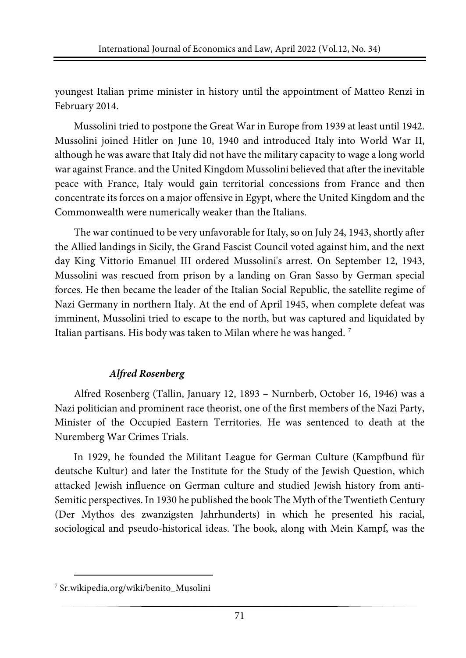youngest Italian prime minister in history until the appointment of Matteo Renzi in February 2014.

Mussolini tried to postpone the Great War in Europe from 1939 at least until 1942. Mussolini joined Hitler on June 10, 1940 and introduced Italy into World War II, although he was aware that Italy did not have the military capacity to wage a long world war against France. and the United Kingdom Mussolini believed that after the inevitable peace with France, Italy would gain territorial concessions from France and then concentrate its forces on a major offensive in Egypt, where the United Kingdom and the Commonwealth were numerically weaker than the Italians.

The war continued to be very unfavorable for Italy, so on July 24, 1943, shortly after the Allied landings in Sicily, the Grand Fascist Council voted against him, and the next day King Vittorio Emanuel III ordered Mussolini's arrest. On September 12, 1943, Mussolini was rescued from prison by a landing on Gran Sasso by German special forces. He then became the leader of the Italian Social Republic, the satellite regime of Nazi Germany in northern Italy. At the end of April 1945, when complete defeat was imminent, Mussolini tried to escape to the north, but was captured and liquidated by Italian partisans. His body was taken to Milan where he was hanged. [7](#page-6-0)

## *Alfred Rosenberg*

Alfred Rosenberg (Tallin, January 12, 1893 – Nurnberb, October 16, 1946) was a Nazi politician and prominent race theorist, one of the first members of the Nazi Party, Minister of the Occupied Eastern Territories. He was sentenced to death at the Nuremberg War Crimes Trials.

In 1929, he founded the Militant League for German Culture (Kampfbund für deutsche Kultur) and later the Institute for the Study of the Jewish Question, which attacked Jewish influence on German culture and studied Jewish history from anti-Semitic perspectives. In 1930 he published the book The Myth of the Twentieth Century (Der Mythos des zwanzigsten Jahrhunderts) in which he presented his racial, sociological and pseudo-historical ideas. The book, along with Mein Kampf, was the

<span id="page-6-0"></span><sup>7</sup> Sr.wikipedia.org/wiki/benito\_Musolini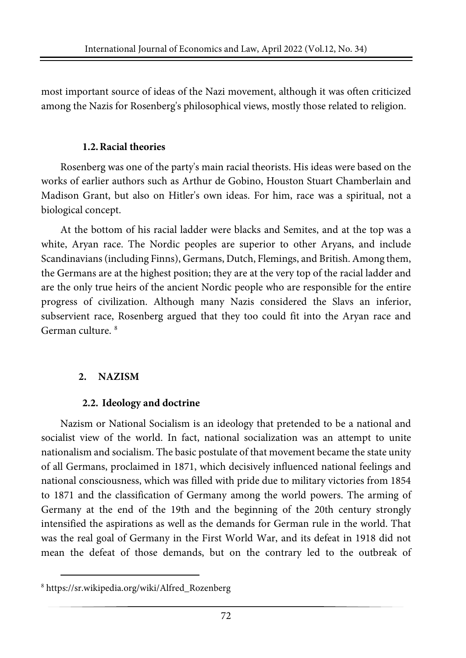most important source of ideas of the Nazi movement, although it was often criticized among the Nazis for Rosenberg's philosophical views, mostly those related to religion.

#### **1.2.Racial theories**

Rosenberg was one of the party's main racial theorists. His ideas were based on the works of earlier authors such as Arthur de Gobino, Houston Stuart Chamberlain and Madison Grant, but also on Hitler's own ideas. For him, race was a spiritual, not a biological concept.

At the bottom of his racial ladder were blacks and Semites, and at the top was a white, Aryan race. The Nordic peoples are superior to other Aryans, and include Scandinavians (including Finns), Germans, Dutch, Flemings, and British. Among them, the Germans are at the highest position; they are at the very top of the racial ladder and are the only true heirs of the ancient Nordic people who are responsible for the entire progress of civilization. Although many Nazis considered the Slavs an inferior, subservient race, Rosenberg argued that they too could fit into the Aryan race and German culture. [8](#page-7-0)

## **2. NAZISM**

## **2.2. Ideology and doctrine**

Nazism or National Socialism is an ideology that pretended to be a national and socialist view of the world. In fact, national socialization was an attempt to unite nationalism and socialism. The basic postulate of that movement became the state unity of all Germans, proclaimed in 1871, which decisively influenced national feelings and national consciousness, which was filled with pride due to military victories from 1854 to 1871 and the classification of Germany among the world powers. The arming of Germany at the end of the 19th and the beginning of the 20th century strongly intensified the aspirations as well as the demands for German rule in the world. That was the real goal of Germany in the First World War, and its defeat in 1918 did not mean the defeat of those demands, but on the contrary led to the outbreak of

<span id="page-7-0"></span><sup>8</sup> https://sr.wikipedia.org/wiki/Alfred\_Rozenberg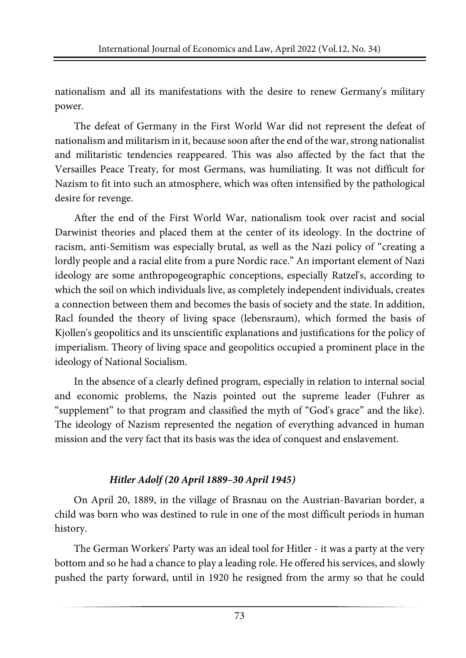nationalism and all its manifestations with the desire to renew Germany's military power.

The defeat of Germany in the First World War did not represent the defeat of nationalism and militarism in it, because soon after the end of the war, strong nationalist and militaristic tendencies reappeared. This was also affected by the fact that the Versailles Peace Treaty, for most Germans, was humiliating. It was not difficult for Nazism to fit into such an atmosphere, which was often intensified by the pathological desire for revenge.

After the end of the First World War, nationalism took over racist and social Darwinist theories and placed them at the center of its ideology. In the doctrine of racism, anti-Semitism was especially brutal, as well as the Nazi policy of "creating a lordly people and a racial elite from a pure Nordic race." An important element of Nazi ideology are some anthropogeographic conceptions, especially Ratzel's, according to which the soil on which individuals live, as completely independent individuals, creates a connection between them and becomes the basis of society and the state. In addition, Racl founded the theory of living space (lebensraum), which formed the basis of Kjollen's geopolitics and its unscientific explanations and justifications for the policy of imperialism. Theory of living space and geopolitics occupied a prominent place in the ideology of National Socialism.

In the absence of a clearly defined program, especially in relation to internal social and economic problems, the Nazis pointed out the supreme leader (Fuhrer as "supplement" to that program and classified the myth of "God's grace" and the like). The ideology of Nazism represented the negation of everything advanced in human mission and the very fact that its basis was the idea of conquest and enslavement.

## *Hitler Adolf (20 April 1889–30 April 1945)*

On April 20, 1889, in the village of Brasnau on the Austrian-Bavarian border, a child was born who was destined to rule in one of the most difficult periods in human history.

The German Workers' Party was an ideal tool for Hitler - it was a party at the very bottom and so he had a chance to play a leading role. He offered his services, and slowly pushed the party forward, until in 1920 he resigned from the army so that he could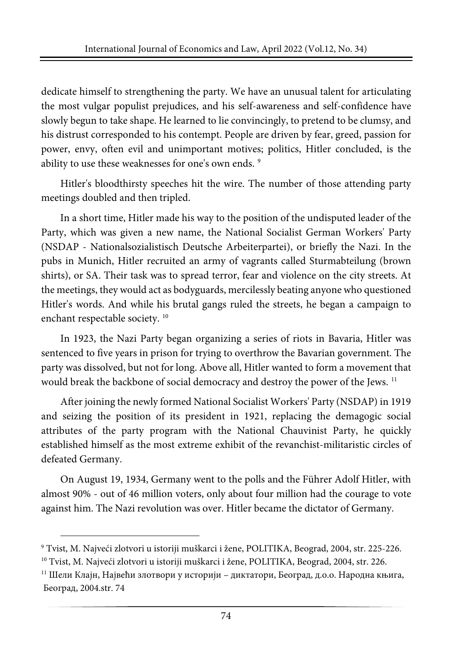dedicate himself to strengthening the party. We have an unusual talent for articulating the most vulgar populist prejudices, and his self-awareness and self-confidence have slowly begun to take shape. He learned to lie convincingly, to pretend to be clumsy, and his distrust corresponded to his contempt. People are driven by fear, greed, passion for power, envy, often evil and unimportant motives; politics, Hitler concluded, is the ability to use these weaknesses for one's own ends. [9](#page-9-0)

Hitler's bloodthirsty speeches hit the wire. The number of those attending party meetings doubled and then tripled.

In a short time, Hitler made his way to the position of the undisputed leader of the Party, which was given a new name, the National Socialist German Workers' Party (NSDAP - Nationalsozialistisch Deutsche Arbeiterpartei), or briefly the Nazi. In the pubs in Munich, Hitler recruited an army of vagrants called Sturmabteilung (brown shirts), or SA. Their task was to spread terror, fear and violence on the city streets. At the meetings, they would act as bodyguards, mercilessly beating anyone who questioned Hitler's words. And while his brutal gangs ruled the streets, he began a campaign to enchant respectable society.<sup>[10](#page-9-1)</sup>

In 1923, the Nazi Party began organizing a series of riots in Bavaria, Hitler was sentenced to five years in prison for trying to overthrow the Bavarian government. The party was dissolved, but not for long. Above all, Hitler wanted to form a movement that would break the backbone of social democracy and destroy the power of the Jews.<sup>[11](#page-9-2)</sup>

After joining the newly formed National Socialist Workers' Party (NSDAP) in 1919 and seizing the position of its president in 1921, replacing the demagogic social attributes of the party program with the National Chauvinist Party, he quickly established himself as the most extreme exhibit of the revanchist-militaristic circles of defeated Germany.

On August 19, 1934, Germany went to the polls and the Führer Adolf Hitler, with almost 90% - out of 46 million voters, only about four million had the courage to vote against him. The Nazi revolution was over. Hitler became the dictator of Germany.

<span id="page-9-0"></span><sup>9</sup> Tvist, M. Najveći zlotvori u istoriji muškarci i žene, POLITIKA, Beograd, 2004, str. 225-226.

<span id="page-9-1"></span><sup>10</sup> Tvist, M. Najveći zlotvori u istoriji muškarci i žene, POLITIKA, Beograd, 2004, str. 226.

<span id="page-9-2"></span> $^{\rm 11}$  Шели Клајн, Највећи злотвори у историји – диктатори, Београд, д.о.о. Народна књига, Београд, 2004.str. 74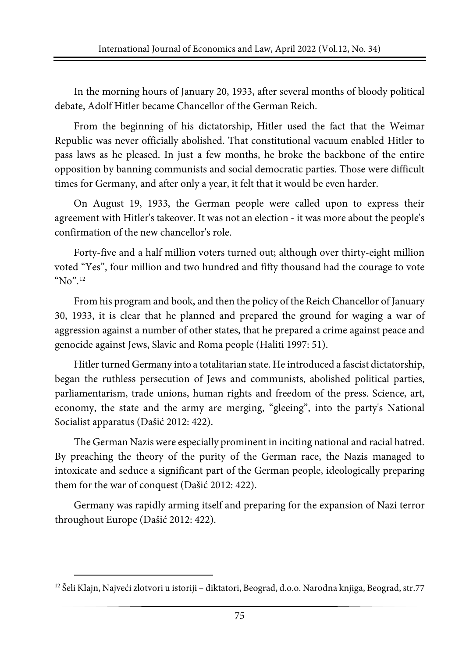In the morning hours of January 20, 1933, after several months of bloody political debate, Adolf Hitler became Chancellor of the German Reich.

From the beginning of his dictatorship, Hitler used the fact that the Weimar Republic was never officially abolished. That constitutional vacuum enabled Hitler to pass laws as he pleased. In just a few months, he broke the backbone of the entire opposition by banning communists and social democratic parties. Those were difficult times for Germany, and after only a year, it felt that it would be even harder.

On August 19, 1933, the German people were called upon to express their agreement with Hitler's takeover. It was not an election - it was more about the people's confirmation of the new chancellor's role.

Forty-five and a half million voters turned out; although over thirty-eight million voted "Yes", four million and two hundred and fifty thousand had the courage to vote "No".<sup>[12](#page-10-0)</sup>

From his program and book, and then the policy of the Reich Chancellor of January 30, 1933, it is clear that he planned and prepared the ground for waging a war of aggression against a number of other states, that he prepared a crime against peace and genocide against Jews, Slavic and Roma people (Haliti 1997: 51).

Hitler turned Germany into a totalitarian state. He introduced a fascist dictatorship, began the ruthless persecution of Jews and communists, abolished political parties, parliamentarism, trade unions, human rights and freedom of the press. Science, art, economy, the state and the army are merging, "gleeing", into the party's National Socialist apparatus (Dašić 2012: 422).

The German Nazis were especially prominent in inciting national and racial hatred. By preaching the theory of the purity of the German race, the Nazis managed to intoxicate and seduce a significant part of the German people, ideologically preparing them for the war of conquest (Dašić 2012: 422).

Germany was rapidly arming itself and preparing for the expansion of Nazi terror throughout Europe (Dašić 2012: 422).

<span id="page-10-0"></span><sup>12</sup> Šeli Klajn, Najveći zlotvori u istoriji – diktatori, Beograd, d.o.o. Narodna knjiga, Beograd, str.77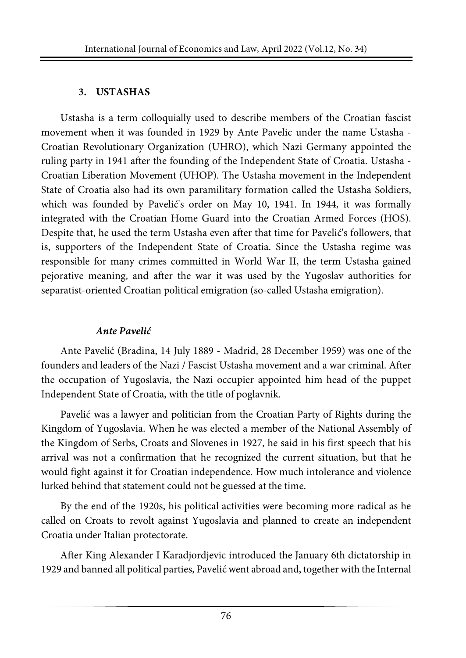#### **3. USTASHAS**

Ustasha is a term colloquially used to describe members of the Croatian fascist movement when it was founded in 1929 by Ante Pavelic under the name Ustasha - Croatian Revolutionary Organization (UHRO), which Nazi Germany appointed the ruling party in 1941 after the founding of the Independent State of Croatia. Ustasha - Croatian Liberation Movement (UHOP). The Ustasha movement in the Independent State of Croatia also had its own paramilitary formation called the Ustasha Soldiers, which was founded by Pavelić's order on May 10, 1941. In 1944, it was formally integrated with the Croatian Home Guard into the Croatian Armed Forces (HOS). Despite that, he used the term Ustasha even after that time for Pavelić's followers, that is, supporters of the Independent State of Croatia. Since the Ustasha regime was responsible for many crimes committed in World War II, the term Ustasha gained pejorative meaning, and after the war it was used by the Yugoslav authorities for separatist-oriented Croatian political emigration (so-called Ustasha emigration).

## *Ante Pavelić*

Ante Pavelić (Bradina, 14 July 1889 - Madrid, 28 December 1959) was one of the founders and leaders of the Nazi / Fascist Ustasha movement and a war criminal. After the occupation of Yugoslavia, the Nazi occupier appointed him head of the puppet Independent State of Croatia, with the title of poglavnik.

Pavelić was a lawyer and politician from the Croatian Party of Rights during the Kingdom of Yugoslavia. When he was elected a member of the National Assembly of the Kingdom of Serbs, Croats and Slovenes in 1927, he said in his first speech that his arrival was not a confirmation that he recognized the current situation, but that he would fight against it for Croatian independence. How much intolerance and violence lurked behind that statement could not be guessed at the time.

By the end of the 1920s, his political activities were becoming more radical as he called on Croats to revolt against Yugoslavia and planned to create an independent Croatia under Italian protectorate.

After King Alexander I Karadjordjevic introduced the January 6th dictatorship in 1929 and banned all political parties, Pavelić went abroad and, together with the Internal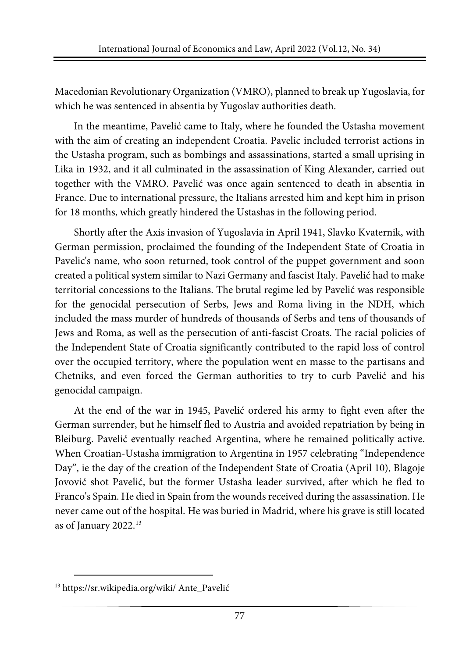Macedonian Revolutionary Organization (VMRO), planned to break up Yugoslavia, for which he was sentenced in absentia by Yugoslav authorities death.

In the meantime, Pavelić came to Italy, where he founded the Ustasha movement with the aim of creating an independent Croatia. Pavelic included terrorist actions in the Ustasha program, such as bombings and assassinations, started a small uprising in Lika in 1932, and it all culminated in the assassination of King Alexander, carried out together with the VMRO. Pavelić was once again sentenced to death in absentia in France. Due to international pressure, the Italians arrested him and kept him in prison for 18 months, which greatly hindered the Ustashas in the following period.

Shortly after the Axis invasion of Yugoslavia in April 1941, Slavko Kvaternik, with German permission, proclaimed the founding of the Independent State of Croatia in Pavelic's name, who soon returned, took control of the puppet government and soon created a political system similar to Nazi Germany and fascist Italy. Pavelić had to make territorial concessions to the Italians. The brutal regime led by Pavelić was responsible for the genocidal persecution of Serbs, Jews and Roma living in the NDH, which included the mass murder of hundreds of thousands of Serbs and tens of thousands of Jews and Roma, as well as the persecution of anti-fascist Croats. The racial policies of the Independent State of Croatia significantly contributed to the rapid loss of control over the occupied territory, where the population went en masse to the partisans and Chetniks, and even forced the German authorities to try to curb Pavelić and his genocidal campaign.

At the end of the war in 1945, Pavelić ordered his army to fight even after the German surrender, but he himself fled to Austria and avoided repatriation by being in Bleiburg. Pavelić eventually reached Argentina, where he remained politically active. When Croatian-Ustasha immigration to Argentina in 1957 celebrating "Independence Day", ie the day of the creation of the Independent State of Croatia (April 10), Blagoje Jovović shot Pavelić, but the former Ustasha leader survived, after which he fled to Franco's Spain. He died in Spain from the wounds received during the assassination. He never came out of the hospital. He was buried in Madrid, where his grave is still located as of January 2022.[13](#page-12-0)

<span id="page-12-0"></span><sup>13</sup> <https://sr.wikipedia.org/wiki/> Ante\_Pavelić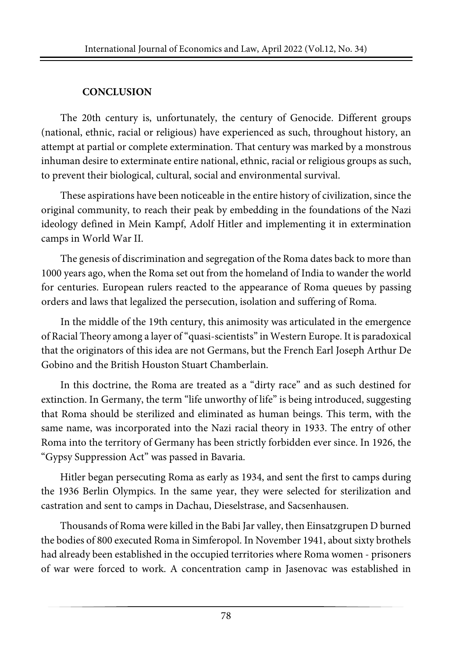## **CONCLUSION**

The 20th century is, unfortunately, the century of Genocide. Different groups (national, ethnic, racial or religious) have experienced as such, throughout history, an attempt at partial or complete extermination. That century was marked by a monstrous inhuman desire to exterminate entire national, ethnic, racial or religious groups as such, to prevent their biological, cultural, social and environmental survival.

These aspirations have been noticeable in the entire history of civilization, since the original community, to reach their peak by embedding in the foundations of the Nazi ideology defined in Mein Kampf, Adolf Hitler and implementing it in extermination camps in World War II.

The genesis of discrimination and segregation of the Roma dates back to more than 1000 years ago, when the Roma set out from the homeland of India to wander the world for centuries. European rulers reacted to the appearance of Roma queues by passing orders and laws that legalized the persecution, isolation and suffering of Roma.

In the middle of the 19th century, this animosity was articulated in the emergence of Racial Theory among a layer of"quasi-scientists" in Western Europe. It is paradoxical that the originators of this idea are not Germans, but the French Earl Joseph Arthur De Gobino and the British Houston Stuart Chamberlain.

In this doctrine, the Roma are treated as a "dirty race" and as such destined for extinction. In Germany, the term "life unworthy of life" is being introduced, suggesting that Roma should be sterilized and eliminated as human beings. This term, with the same name, was incorporated into the Nazi racial theory in 1933. The entry of other Roma into the territory of Germany has been strictly forbidden ever since. In 1926, the "Gypsy Suppression Act" was passed in Bavaria.

Hitler began persecuting Roma as early as 1934, and sent the first to camps during the 1936 Berlin Olympics. In the same year, they were selected for sterilization and castration and sent to camps in Dachau, Dieselstrase, and Sacsenhausen.

Thousands of Roma were killed in the Babi Jar valley, then Einsatzgrupen D burned the bodies of 800 executed Roma in Simferopol. In November 1941, about sixty brothels had already been established in the occupied territories where Roma women - prisoners of war were forced to work. A concentration camp in Jasenovac was established in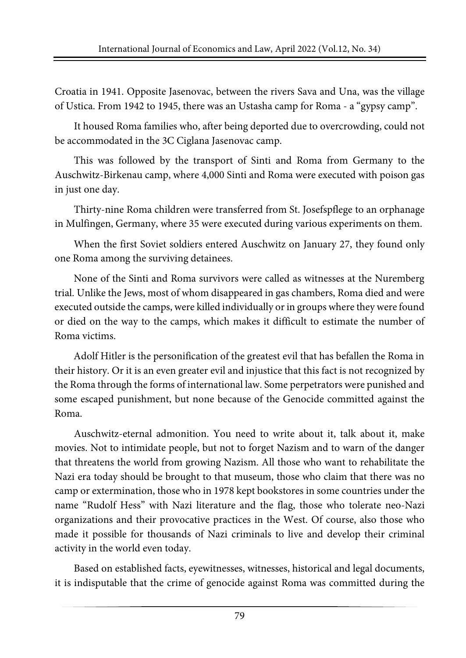Croatia in 1941. Opposite Jasenovac, between the rivers Sava and Una, was the village of Ustica. From 1942 to 1945, there was an Ustasha camp for Roma - a "gypsy camp".

It housed Roma families who, after being deported due to overcrowding, could not be accommodated in the 3C Ciglana Jasenovac camp.

This was followed by the transport of Sinti and Roma from Germany to the Auschwitz-Birkenau camp, where 4,000 Sinti and Roma were executed with poison gas in just one day.

Thirty-nine Roma children were transferred from St. Josefspflege to an orphanage in Mulfingen, Germany, where 35 were executed during various experiments on them.

When the first Soviet soldiers entered Auschwitz on January 27, they found only one Roma among the surviving detainees.

None of the Sinti and Roma survivors were called as witnesses at the Nuremberg trial. Unlike the Jews, most of whom disappeared in gas chambers, Roma died and were executed outside the camps, were killed individually or in groups where they were found or died on the way to the camps, which makes it difficult to estimate the number of Roma victims.

Adolf Hitler is the personification of the greatest evil that has befallen the Roma in their history. Or it is an even greater evil and injustice that this fact is not recognized by the Roma through the forms of international law. Some perpetrators were punished and some escaped punishment, but none because of the Genocide committed against the Roma.

Auschwitz-eternal admonition. You need to write about it, talk about it, make movies. Not to intimidate people, but not to forget Nazism and to warn of the danger that threatens the world from growing Nazism. All those who want to rehabilitate the Nazi era today should be brought to that museum, those who claim that there was no camp or extermination, those who in 1978 kept bookstores in some countries under the name "Rudolf Hess" with Nazi literature and the flag, those who tolerate neo-Nazi organizations and their provocative practices in the West. Of course, also those who made it possible for thousands of Nazi criminals to live and develop their criminal activity in the world even today.

Based on established facts, eyewitnesses, witnesses, historical and legal documents, it is indisputable that the crime of genocide against Roma was committed during the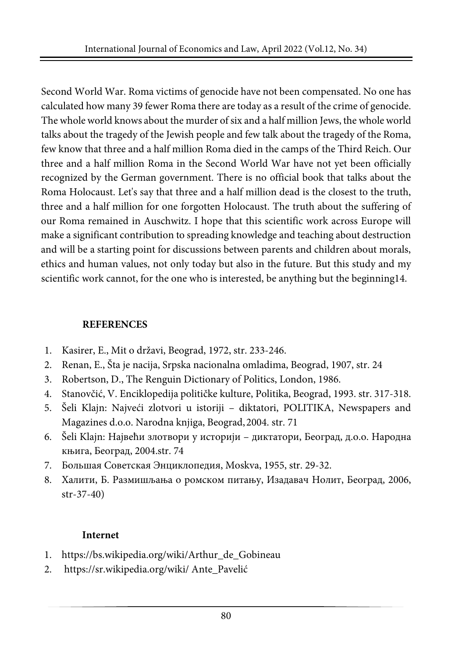Second World War. Roma victims of genocide have not been compensated. No one has calculated how many 39 fewer Roma there are today as a result of the crime of genocide. The whole world knows about the murder of six and a half million Jews, the whole world talks about the tragedy of the Jewish people and few talk about the tragedy of the Roma, few know that three and a half million Roma died in the camps of the Third Reich. Our three and a half million Roma in the Second World War have not yet been officially recognized by the German government. There is no official book that talks about the Roma Holocaust. Let's say that three and a half million dead is the closest to the truth, three and a half million for one forgotten Holocaust. The truth about the suffering of our Roma remained in Auschwitz. I hope that this scientific work across Europe will make a significant contribution to spreading knowledge and teaching about destruction and will be a starting point for discussions between parents and children about morals, ethics and human values, not only today but also in the future. But this study and my scientific work cannot, for the one who is interested, be anything but the beginning14.

#### **REFERENCES**

- 1. Kasirer, E., Mit o državi, Beograd, 1972, str. 233-246.
- 2. Renan, E., Šta je nacija, Srpska nacionalna omladima, Beograd, 1907, str. 24
- 3. Robertson, D., The Renguin Dictionary of Politics, London, 1986.
- 4. Stanovčić, V. Enciklopedija političke kulture, Politika, Beograd, 1993. str. 317-318.
- 5. Šeli Klajn: Najveći zlotvori u istoriji diktatori, POLITIKA, Newspapers and Magazines d.o.o. Narodna knjiga, Beograd,2004. str. 71
- 6. Šeli Klajn: Највећи злотвори у историји диктатори, Београд, д.о.о. Народна књига, Београд, 2004.str. 74
- 7. Большая Советская Энциклопедия, Moskva, 1955, str. 29-32.
- 8. Халити, Б. Размишљања о ромском питању, Изадавач Нолит, Београд, 2006, str-37-40)

## **Internet**

- 1. https://bs.wikipedia.org/wiki/Arthur\_de\_Gobineau
- 2. <https://sr.wikipedia.org/wiki/> Ante\_Pavelić